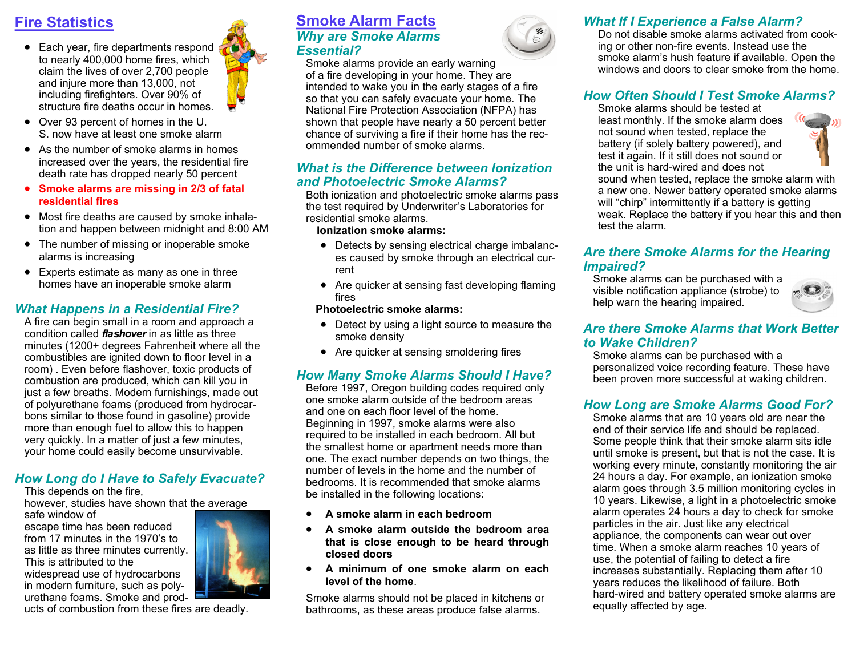# **Fire Statistics**

- Each year, fire departments respond to nearly 400,000 home fires, which claim the lives of over 2,700 people and injure more than 13,000, not including firefighters. Over 90% of structure fire deaths occur in homes.
- Over 93 percent of homes in the U. S. now have at least one smoke alarm
- As the number of smoke alarms in homes increased over the years, the residential fire death rate has dropped nearly 50 percent
- **Smoke alarms are missing in 2/3 of fatal residential fires**
- Most fire deaths are caused by smoke inhalation and happen between midnight and 8:00 AM
- The number of missing or inoperable smoke alarms is increasing
- Experts estimate as many as one in three homes have an inoperable smoke alarm

#### *What Happens in a Residential Fire?*

A fire can begin small in a room and approach a condition called *flashover* in as little as three minutes (1200+ degrees Fahrenheit where all the combustibles are ignited down to floor level in a room) . Even before flashover, toxic products of combustion are produced, which can kill you in just a few breaths. Modern furnishings, made out of polyurethane foams (produced from hydrocarbons similar to those found in gasoline) provide more than enough fuel to allow this to happen very quickly. In a matter of just a few minutes, your home could easily become unsurvivable.

## *How Long do I Have to Safely Evacuate?*

This depends on the fire,

however, studies have shown that the average

safe window of escape time has been reduced from 17 minutes in the 1970's to as little as three minutes currently. This is attributed to the widespread use of hydrocarbons in modern furniture, such as polyurethane foams. Smoke and prod-



ucts of combustion from these fires are deadly.

## **Smoke Alarm Facts** *Why are Smoke Alarms Essential?*

Smoke alarms provide an early warning of a fire developing in your home. They are intended to wake you in the early stages of a fire so that you can safely evacuate your home. The National Fire Protection Association (NFPA) has shown that people have nearly a 50 percent better chance of surviving a fire if their home has the recommended number of smoke alarms.

#### *What is the Difference between Ionization and Photoelectric Smoke Alarms?*

Both ionization and photoelectric smoke alarms pass the test required by Underwriter's Laboratories for residential smoke alarms.

#### **Ionization smoke alarms:**

- Detects by sensing electrical charge imbalances caused by smoke through an electrical current
- Are quicker at sensing fast developing flaming fires

#### **Photoelectric smoke alarms:**

- Detect by using a light source to measure the smoke density
- Are quicker at sensing smoldering fires

# *How Many Smoke Alarms Should I Have?*

Before 1997, Oregon building codes required only one smoke alarm outside of the bedroom areas and one on each floor level of the home. Beginning in 1997, smoke alarms were also required to be installed in each bedroom. All but the smallest home or apartment needs more than one. The exact number depends on two things, the number of levels in the home and the number of bedrooms. It is recommended that smoke alarms be installed in the following locations:

- **A smoke alarm in each bedroom**
- **A smoke alarm outside the bedroom area that is close enough to be heard through closed doors**
- **A minimum of one smoke alarm on each level of the home**.

Smoke alarms should not be placed in kitchens or bathrooms, as these areas produce false alarms.



Do not disable smoke alarms activated from cooking or other non-fire events. Instead use the smoke alarm's hush feature if available. Open the windows and doors to clear smoke from the home.

# *How Often Should I Test Smoke Alarms?*

Smoke alarms should be tested at least monthly. If the smoke alarm does not sound when tested, replace the battery (if solely battery powered), and test it again. If it still does not sound or the unit is hard-wired and does not



sound when tested, replace the smoke alarm with a new one. Newer battery operated smoke alarms will "chirp" intermittently if a battery is getting weak. Replace the battery if you hear this and then test the alarm.

#### *Are there Smoke Alarms for the Hearing Impaired?*

Smoke alarms can be purchased with a visible notification appliance (strobe) to help warn the hearing impaired.



### *Are there Smoke Alarms that Work Better to Wake Children?*

Smoke alarms can be purchased with a personalized voice recording feature. These have been proven more successful at waking children.

#### *How Long are Smoke Alarms Good For?*

Smoke alarms that are 10 years old are near the end of their service life and should be replaced. Some people think that their smoke alarm sits idle until smoke is present, but that is not the case. It is working every minute, constantly monitoring the air 24 hours a day. For example, an ionization smoke alarm goes through 3.5 million monitoring cycles in 10 years. Likewise, a light in a photoelectric smoke alarm operates 24 hours a day to check for smoke particles in the air. Just like any electrical appliance, the components can wear out over time. When a smoke alarm reaches 10 years of use, the potential of failing to detect a fire increases substantially. Replacing them after 10 years reduces the likelihood of failure. Both hard-wired and battery operated smoke alarms are equally affected by age.